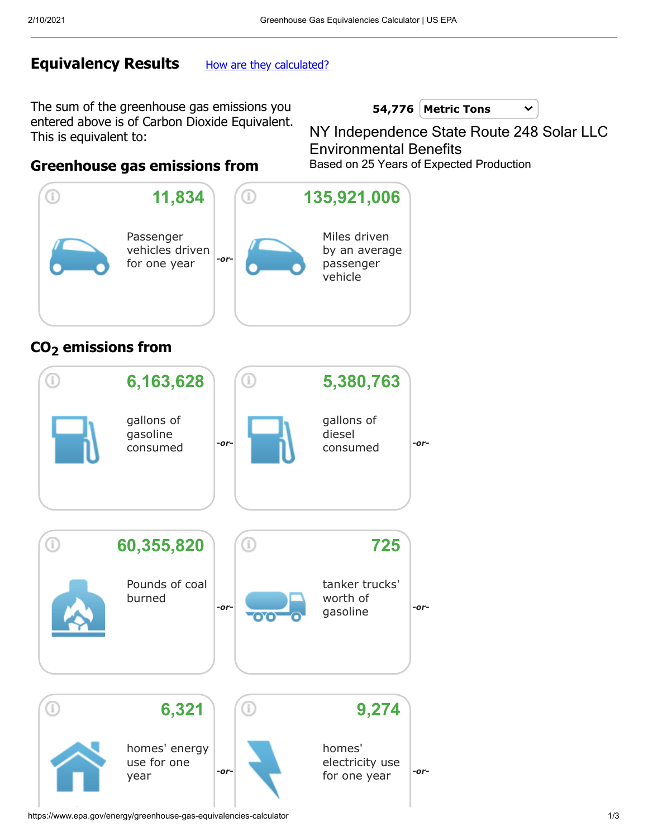## **Equivalency Results** [How are they calculated?](https://www.epa.gov/energy/greenhouse-gases-equivalencies-calculator-calculations-and-references)

The sum of the greenhouse gas emissions you entered above is of Carbon Dioxide Equivalent. This is equivalent to:

NY Independence State Route 248 Solar LLC Based on 25 Years of Expected Production Environmental Benefits

 $\checkmark$ 

**Metric Tons 54,776**

### **Greenhouse gas emissions from**



## **CO2 emissions from**



https://www.epa.gov/energy/greenhouse-gas-equivalencies-calculator 1/3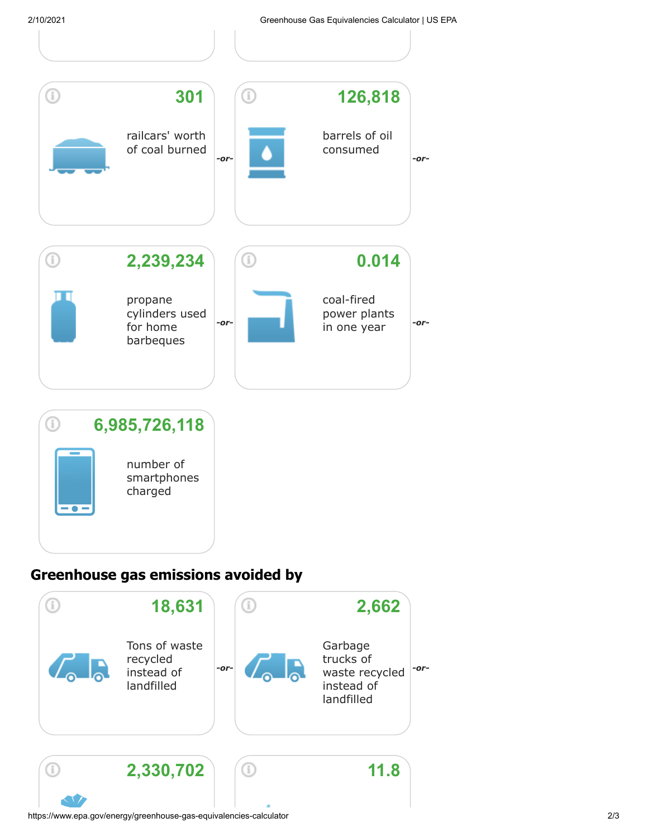

# **Greenhouse gas emissions avoided by**